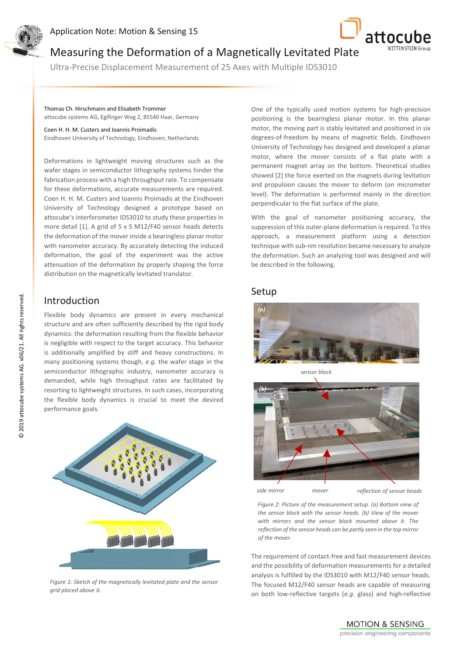

# Measuring the Deformation of a Magnetically Levitated Plate

Ultra-Precise Displacement Measurement of 25 Axes with Multiple IDS3010

#### Thomas Ch. Hirschmann and Elisabeth Trommer

attocube systems AG, Eglfinger Weg 2, 85540 Haar, Germany

Coen H. H. M. Custers and Ioannis Proimadis Eindhoven University of Technology, Eindhoven, Netherlands

Deformations in lightweight moving structures such as the wafer stages in semiconductor lithography systems hinder the fabrication process with a high throughput rate. To compensate for these deformations, accurate measurements are required. Coen H. H. M. Custers and Ioannis Proimadis at the Eindhoven University of Technology designed a prototype based on attocube's interferometer IDS3010 to study these properties in more detail [1]. A grid of 5 x 5 M12/F40 sensor heads detects the deformation of the mover inside a bearingless planar motor with nanometer accuracy. By accurately detecting the induced deformation, the goal of the experiment was the active attenuation of the deformation by properly shaping the force distribution on the magnetically levitated translator.

# Introduction

Flexible body dynamics are present in every mechanical structure and are often sufficiently described by the rigid body dynamics: the deformation resulting from the flexible behavior is negligible with respect to the target accuracy. This behavior is additionally amplified by stiff and heavy constructions. In many positioning systems though, *e.g.* the wafer stage in the semiconductor lithographic industry, nanometer accuracy is demanded, while high throughput rates are facilitated by resorting to lightweight structures. In such cases, incorporating the flexible body dynamics is crucial to meet the desired performance goals.



*Figure 1: Sketch of the magnetically levitated plate and the sensor grid placed above it.*

One of the typically used motion systems for high-precision positioning is the bearingless planar motor. In this planar motor, the moving part is stably levitated and positioned in six degrees-of-freedom by means of magnetic fields. Eindhoven University of Technology has designed and developed a planar motor, where the mover consists of a flat plate with a permanent magnet array on the bottom. Theoretical studies showed [2] the force exerted on the magnets during levitation and propulsion causes the mover to deform (on micrometer level). The deformation is performed mainly in the direction perpendicular to the flat surface of the plate.

With the goal of nanometer positioning accuracy, the suppression of this outer-plane deformation is required. To this approach, a measurement platform using a detection technique with sub-nm resolution became necessary to analyze the deformation. Such an analyzing tool was designed and will be described in the following.

#### Setup



*sensor block*



*side mirror mover reflection of sensor heads*

*Figure 2: Picture of the measurement setup. (a) Bottom view of the sensor block with the sensor heads. (b) View of the mover with mirrors and the sensor block mounted above it. The reflection of the sensor heads can be partly seen in the top mirror of the mover.*

The requirement of contact-free and fast measurement devices and the possibility of deformation measurements for a detailed analysis is fulfilled by the IDS3010 with M12/F40 sensor heads. The focused M12/F40 sensor heads are capable of measuring on both low-reflective targets (*e.g*. glass) and high-reflective